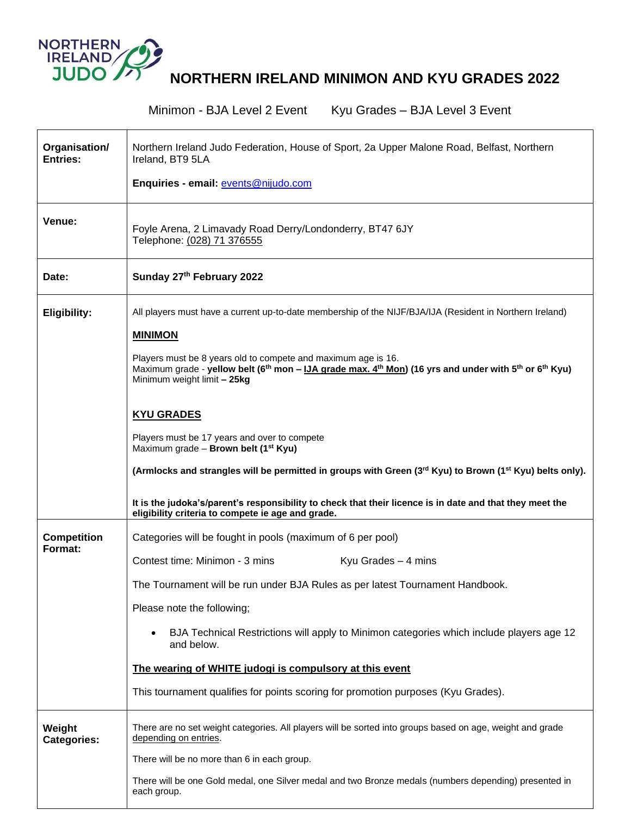

**NORTHERN IRELAND MINIMON AND KYU GRADES 2022**

|                                  | Minimon - BJA Level 2 Event<br>Kyu Grades - BJA Level 3 Event                                                                                                                                                                                                                                                                                                                                                                                                                                 |
|----------------------------------|-----------------------------------------------------------------------------------------------------------------------------------------------------------------------------------------------------------------------------------------------------------------------------------------------------------------------------------------------------------------------------------------------------------------------------------------------------------------------------------------------|
| Organisation/<br><b>Entries:</b> | Northern Ireland Judo Federation, House of Sport, 2a Upper Malone Road, Belfast, Northern<br>Ireland, BT9 5LA<br>Enquiries - email: events@nijudo.com                                                                                                                                                                                                                                                                                                                                         |
| Venue:                           | Foyle Arena, 2 Limavady Road Derry/Londonderry, BT47 6JY<br>Telephone: (028) 71 376555                                                                                                                                                                                                                                                                                                                                                                                                        |
| Date:                            | Sunday 27th February 2022                                                                                                                                                                                                                                                                                                                                                                                                                                                                     |
| <b>Eligibility:</b>              | All players must have a current up-to-date membership of the NIJF/BJA/IJA (Resident in Northern Ireland)<br><b>MINIMON</b><br>Players must be 8 years old to compete and maximum age is 16.<br>Maximum grade - yellow belt (6 <sup>th</sup> mon - IJA grade max. 4 <sup>th</sup> Mon) (16 yrs and under with 5 <sup>th</sup> or 6 <sup>th</sup> Kyu)<br>Minimum weight limit - 25kg                                                                                                           |
|                                  | <b>KYU GRADES</b><br>Players must be 17 years and over to compete<br>Maximum grade - Brown belt (1 <sup>st</sup> Kyu)<br>(Armlocks and strangles will be permitted in groups with Green (3rd Kyu) to Brown (1 <sup>st</sup> Kyu) belts only).<br>It is the judoka's/parent's responsibility to check that their licence is in date and that they meet the<br>eligibility criteria to compete ie age and grade.                                                                                |
| <b>Competition</b><br>Format:    | Categories will be fought in pools (maximum of 6 per pool)<br>Contest time: Minimon - 3 mins<br>Kyu Grades $-4$ mins<br>The Tournament will be run under BJA Rules as per latest Tournament Handbook.<br>Please note the following;<br>BJA Technical Restrictions will apply to Minimon categories which include players age 12<br>and below.<br>The wearing of WHITE judogi is compulsory at this event<br>This tournament qualifies for points scoring for promotion purposes (Kyu Grades). |
| Weight<br><b>Categories:</b>     | There are no set weight categories. All players will be sorted into groups based on age, weight and grade<br>depending on entries.<br>There will be no more than 6 in each group.<br>There will be one Gold medal, one Silver medal and two Bronze medals (numbers depending) presented in<br>each group.                                                                                                                                                                                     |